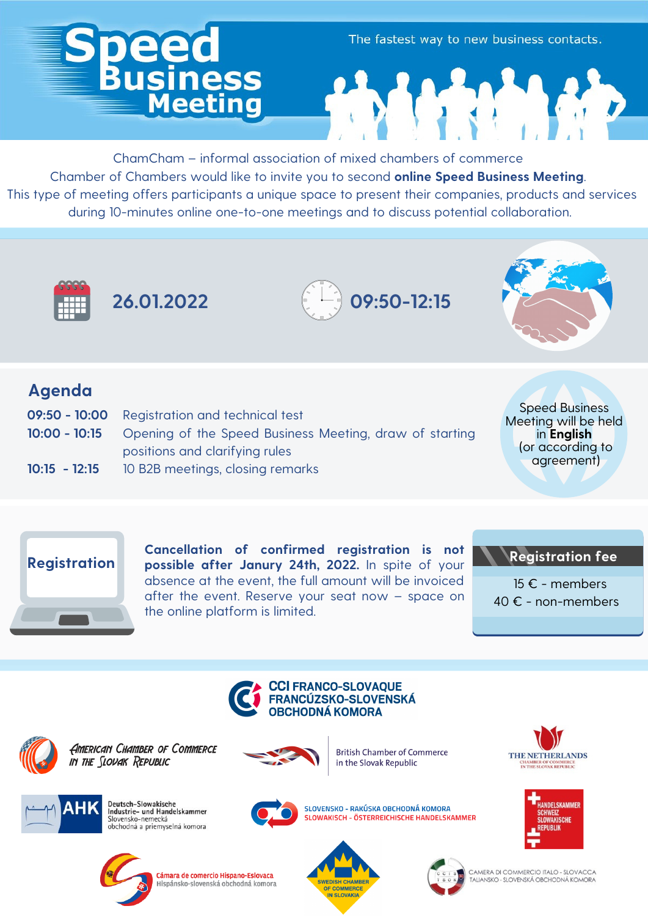## **iess** Meeting

The fastest way to new business contacts.

ChamCham – informal association of mixed chambers of commerce Chamber of Chambers would like to invite you to second **online Speed Business Meeting**. This type of meeting offers participants a unique space to present their companies, products and services during 10-minutes online one-to-one meetings and to discuss potential collaboration.



**26.01.2022**





## **Agenda**

- **09:50 - 10:00** Registration and technical test
- **10:00 - 10:15** Opening of the Speed Business Meeting, draw of starting positions and clarifying rules
- **10:15 - 12:15** 10 B2B meetings, closing remarks

Speed Business Meeting will be held in **English** (or according to agreement)



**Cancellation of confirmed registration is not possible after Janury 24th, 2022.** In spite of your absence at the event, the full amount will be invoiced after the event. Reserve your seat now – space on the online platform is limited.

## **Registration fee**

15 € - members 40 € - non-members





**AMERICAN CHAMBER OF COMMERCE** IN THE SLOVAK REPUBLIC



**British Chamber of Commerce** in the Slovak Republic



**JELSKAMMER** 



Deutsch-Slowakische<br>Industrie- und Handelskammer Slovensko-nemecká<br>obchodná a priemyselná komora



SLOVENSKO - RAKÚSKA OBCHODNÁ KOMORA SLOWAKISCH - ÖSTERREICHISCHE HANDELSKAMMER



Cámara de comercio Hispano-Eslovaca Hispánsko-slovenská obchodná komora





CAMERA DI COMMERCIO ITALO - SLOVACCA TALIANSKO - SLOVENSKÁ OBCHODNÁ KOMORA